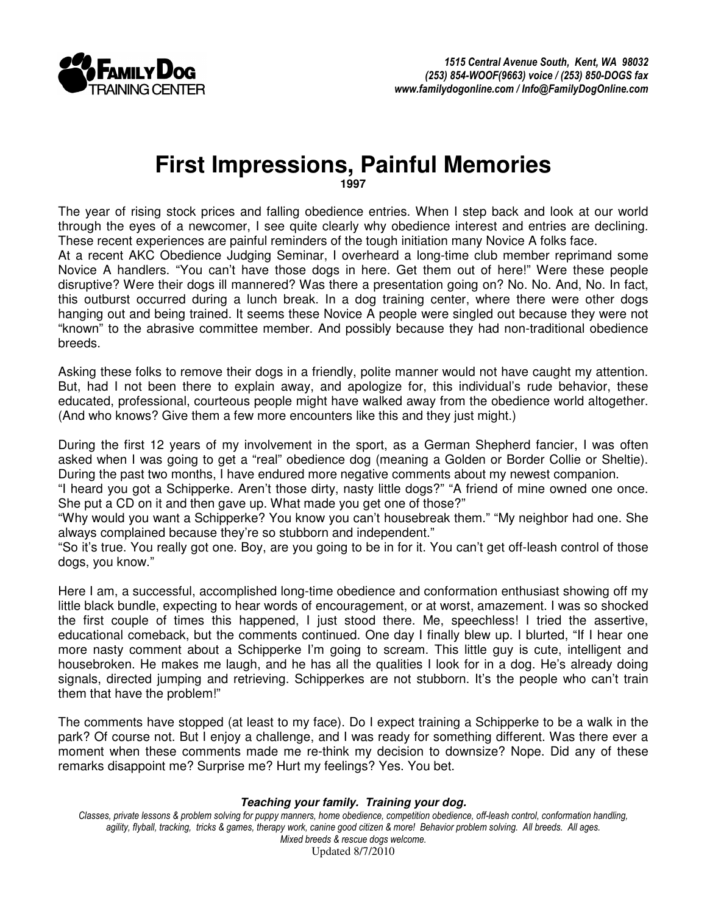

## **First Impressions, Painful Memories**

**1997** 

The year of rising stock prices and falling obedience entries. When I step back and look at our world through the eyes of a newcomer, I see quite clearly why obedience interest and entries are declining. These recent experiences are painful reminders of the tough initiation many Novice A folks face.

At a recent AKC Obedience Judging Seminar, I overheard a long-time club member reprimand some Novice A handlers. "You can't have those dogs in here. Get them out of here!" Were these people disruptive? Were their dogs ill mannered? Was there a presentation going on? No. No. And, No. In fact, this outburst occurred during a lunch break. In a dog training center, where there were other dogs hanging out and being trained. It seems these Novice A people were singled out because they were not "known" to the abrasive committee member. And possibly because they had non-traditional obedience breeds.

Asking these folks to remove their dogs in a friendly, polite manner would not have caught my attention. But, had I not been there to explain away, and apologize for, this individual's rude behavior, these educated, professional, courteous people might have walked away from the obedience world altogether. (And who knows? Give them a few more encounters like this and they just might.)

During the first 12 years of my involvement in the sport, as a German Shepherd fancier, I was often asked when I was going to get a "real" obedience dog (meaning a Golden or Border Collie or Sheltie). During the past two months, I have endured more negative comments about my newest companion.

"I heard you got a Schipperke. Aren't those dirty, nasty little dogs?" "A friend of mine owned one once. She put a CD on it and then gave up. What made you get one of those?"

"Why would you want a Schipperke? You know you can't housebreak them." "My neighbor had one. She always complained because they're so stubborn and independent."

"So it's true. You really got one. Boy, are you going to be in for it. You can't get off-leash control of those dogs, you know."

Here I am, a successful, accomplished long-time obedience and conformation enthusiast showing off my little black bundle, expecting to hear words of encouragement, or at worst, amazement. I was so shocked the first couple of times this happened, I just stood there. Me, speechless! I tried the assertive, educational comeback, but the comments continued. One day I finally blew up. I blurted, "If I hear one more nasty comment about a Schipperke I'm going to scream. This little guy is cute, intelligent and housebroken. He makes me laugh, and he has all the qualities I look for in a dog. He's already doing signals, directed jumping and retrieving. Schipperkes are not stubborn. It's the people who can't train them that have the problem!"

The comments have stopped (at least to my face). Do I expect training a Schipperke to be a walk in the park? Of course not. But I enjoy a challenge, and I was ready for something different. Was there ever a moment when these comments made me re-think my decision to downsize? Nope. Did any of these remarks disappoint me? Surprise me? Hurt my feelings? Yes. You bet.

## **Teaching your family. Training your dog.**

Classes, private lessons & problem solving for puppy manners, home obedience, competition obedience, off-leash control, conformation handling, agility, flyball, tracking, tricks & games, therapy work, canine good citizen & more! Behavior problem solving. All breeds. All ages. Mixed breeds & rescue dogs welcome. Updated 8/7/2010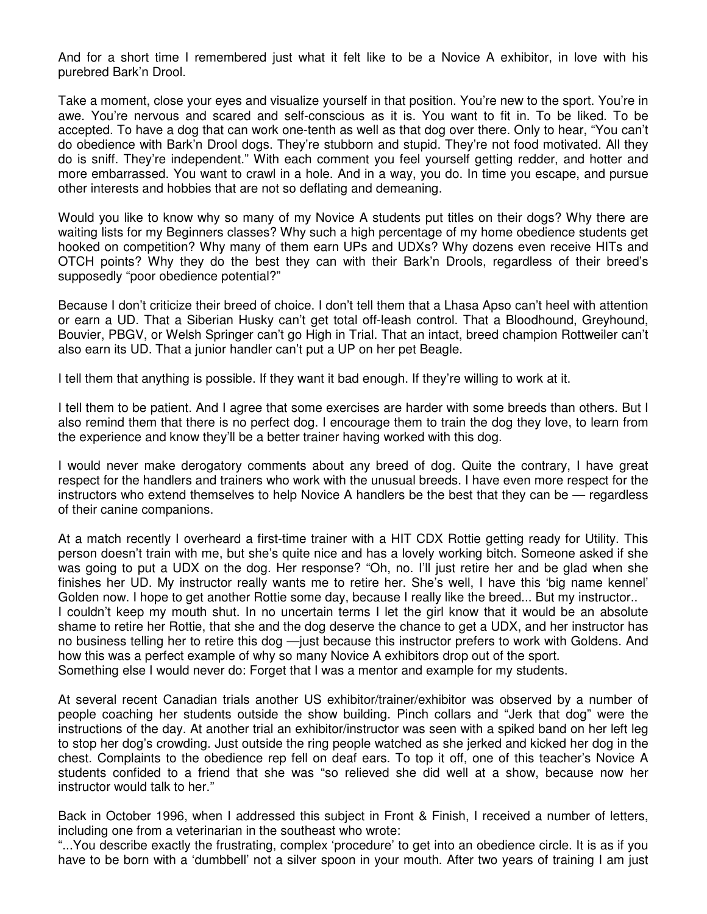And for a short time I remembered just what it felt like to be a Novice A exhibitor, in love with his purebred Bark'n Drool.

Take a moment, close your eyes and visualize yourself in that position. You're new to the sport. You're in awe. You're nervous and scared and self-conscious as it is. You want to fit in. To be liked. To be accepted. To have a dog that can work one-tenth as well as that dog over there. Only to hear, "You can't do obedience with Bark'n Drool dogs. They're stubborn and stupid. They're not food motivated. All they do is sniff. They're independent." With each comment you feel yourself getting redder, and hotter and more embarrassed. You want to crawl in a hole. And in a way, you do. In time you escape, and pursue other interests and hobbies that are not so deflating and demeaning.

Would you like to know why so many of my Novice A students put titles on their dogs? Why there are waiting lists for my Beginners classes? Why such a high percentage of my home obedience students get hooked on competition? Why many of them earn UPs and UDXs? Why dozens even receive HITs and OTCH points? Why they do the best they can with their Bark'n Drools, regardless of their breed's supposedly "poor obedience potential?"

Because I don't criticize their breed of choice. I don't tell them that a Lhasa Apso can't heel with attention or earn a UD. That a Siberian Husky can't get total off-leash control. That a Bloodhound, Greyhound, Bouvier, PBGV, or Welsh Springer can't go High in Trial. That an intact, breed champion Rottweiler can't also earn its UD. That a junior handler can't put a UP on her pet Beagle.

I tell them that anything is possible. If they want it bad enough. If they're willing to work at it.

I tell them to be patient. And I agree that some exercises are harder with some breeds than others. But I also remind them that there is no perfect dog. I encourage them to train the dog they love, to learn from the experience and know they'll be a better trainer having worked with this dog.

I would never make derogatory comments about any breed of dog. Quite the contrary, I have great respect for the handlers and trainers who work with the unusual breeds. I have even more respect for the instructors who extend themselves to help Novice A handlers be the best that they can be — regardless of their canine companions.

At a match recently I overheard a first-time trainer with a HIT CDX Rottie getting ready for Utility. This person doesn't train with me, but she's quite nice and has a lovely working bitch. Someone asked if she was going to put a UDX on the dog. Her response? "Oh, no. I'll just retire her and be glad when she finishes her UD. My instructor really wants me to retire her. She's well, I have this 'big name kennel' Golden now. I hope to get another Rottie some day, because I really like the breed... But my instructor.. I couldn't keep my mouth shut. In no uncertain terms I let the girl know that it would be an absolute shame to retire her Rottie, that she and the dog deserve the chance to get a UDX, and her instructor has no business telling her to retire this dog —just because this instructor prefers to work with Goldens. And how this was a perfect example of why so many Novice A exhibitors drop out of the sport. Something else I would never do: Forget that I was a mentor and example for my students.

At several recent Canadian trials another US exhibitor/trainer/exhibitor was observed by a number of people coaching her students outside the show building. Pinch collars and "Jerk that dog" were the instructions of the day. At another trial an exhibitor/instructor was seen with a spiked band on her left leg to stop her dog's crowding. Just outside the ring people watched as she jerked and kicked her dog in the chest. Complaints to the obedience rep fell on deaf ears. To top it off, one of this teacher's Novice A students confided to a friend that she was "so relieved she did well at a show, because now her instructor would talk to her."

Back in October 1996, when I addressed this subject in Front & Finish, I received a number of letters, including one from a veterinarian in the southeast who wrote:

"...You describe exactly the frustrating, complex 'procedure' to get into an obedience circle. It is as if you have to be born with a 'dumbbell' not a silver spoon in your mouth. After two years of training I am just